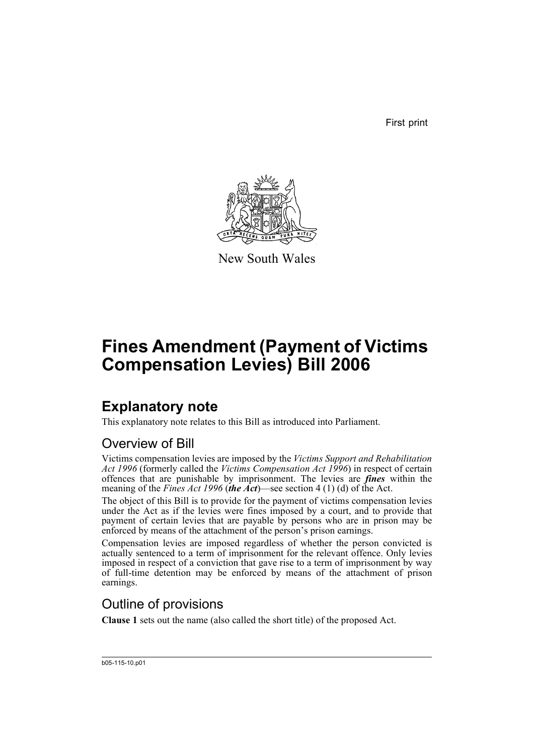First print



New South Wales

# **Fines Amendment (Payment of Victims Compensation Levies) Bill 2006**

## **Explanatory note**

This explanatory note relates to this Bill as introduced into Parliament.

### Overview of Bill

Victims compensation levies are imposed by the *Victims Support and Rehabilitation Act 1996* (formerly called the *Victims Compensation Act 1996*) in respect of certain offences that are punishable by imprisonment. The levies are *fines* within the meaning of the *Fines Act 1996* (*the Act*)—see section 4 (1) (d) of the Act.

The object of this Bill is to provide for the payment of victims compensation levies under the Act as if the levies were fines imposed by a court, and to provide that payment of certain levies that are payable by persons who are in prison may be enforced by means of the attachment of the person's prison earnings.

Compensation levies are imposed regardless of whether the person convicted is actually sentenced to a term of imprisonment for the relevant offence. Only levies imposed in respect of a conviction that gave rise to a term of imprisonment by way of full-time detention may be enforced by means of the attachment of prison earnings.

### Outline of provisions

**Clause 1** sets out the name (also called the short title) of the proposed Act.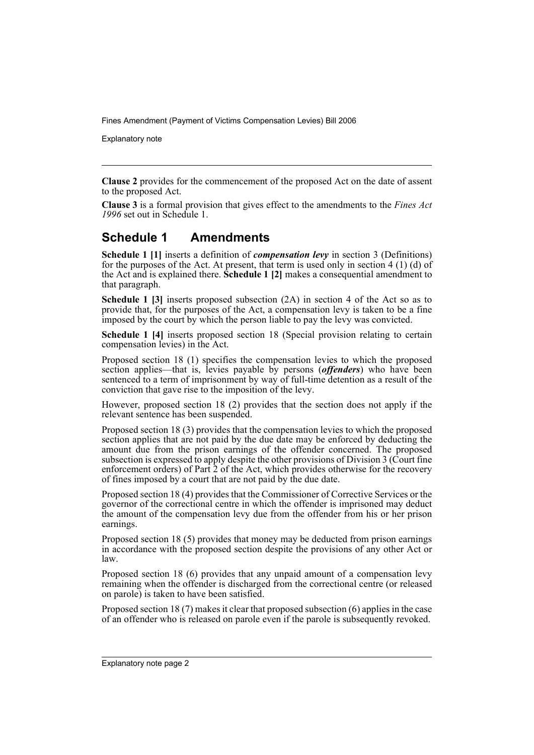Explanatory note

**Clause 2** provides for the commencement of the proposed Act on the date of assent to the proposed Act.

**Clause 3** is a formal provision that gives effect to the amendments to the *Fines Act 1996* set out in Schedule 1.

#### **Schedule 1 Amendments**

**Schedule 1 [1]** inserts a definition of *compensation levy* in section 3 (Definitions) for the purposes of the Act. At present, that term is used only in section 4 (1) (d) of the Act and is explained there. **Schedule 1 [2]** makes a consequential amendment to that paragraph.

**Schedule 1 [3]** inserts proposed subsection (2A) in section 4 of the Act so as to provide that, for the purposes of the Act, a compensation levy is taken to be a fine imposed by the court by which the person liable to pay the levy was convicted.

**Schedule 1 [4]** inserts proposed section 18 (Special provision relating to certain compensation levies) in the Act.

Proposed section 18 (1) specifies the compensation levies to which the proposed section applies—that is, levies payable by persons (*offenders*) who have been sentenced to a term of imprisonment by way of full-time detention as a result of the conviction that gave rise to the imposition of the levy.

However, proposed section 18 (2) provides that the section does not apply if the relevant sentence has been suspended.

Proposed section 18 (3) provides that the compensation levies to which the proposed section applies that are not paid by the due date may be enforced by deducting the amount due from the prison earnings of the offender concerned. The proposed subsection is expressed to apply despite the other provisions of Division 3 (Court fine enforcement orders) of Part 2 of the Act, which provides otherwise for the recovery of fines imposed by a court that are not paid by the due date.

Proposed section 18 (4) provides that the Commissioner of Corrective Services or the governor of the correctional centre in which the offender is imprisoned may deduct the amount of the compensation levy due from the offender from his or her prison earnings.

Proposed section 18 (5) provides that money may be deducted from prison earnings in accordance with the proposed section despite the provisions of any other Act or law.

Proposed section 18 (6) provides that any unpaid amount of a compensation levy remaining when the offender is discharged from the correctional centre (or released on parole) is taken to have been satisfied.

Proposed section 18 (7) makes it clear that proposed subsection (6) applies in the case of an offender who is released on parole even if the parole is subsequently revoked.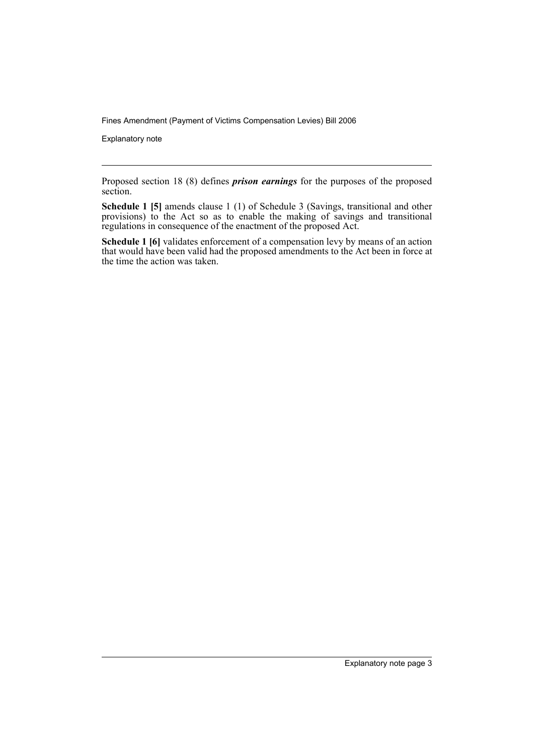Explanatory note

Proposed section 18 (8) defines *prison earnings* for the purposes of the proposed section.

**Schedule 1 [5]** amends clause 1 (1) of Schedule 3 (Savings, transitional and other provisions) to the Act so as to enable the making of savings and transitional regulations in consequence of the enactment of the proposed Act.

**Schedule 1 [6]** validates enforcement of a compensation levy by means of an action that would have been valid had the proposed amendments to the Act been in force at the time the action was taken.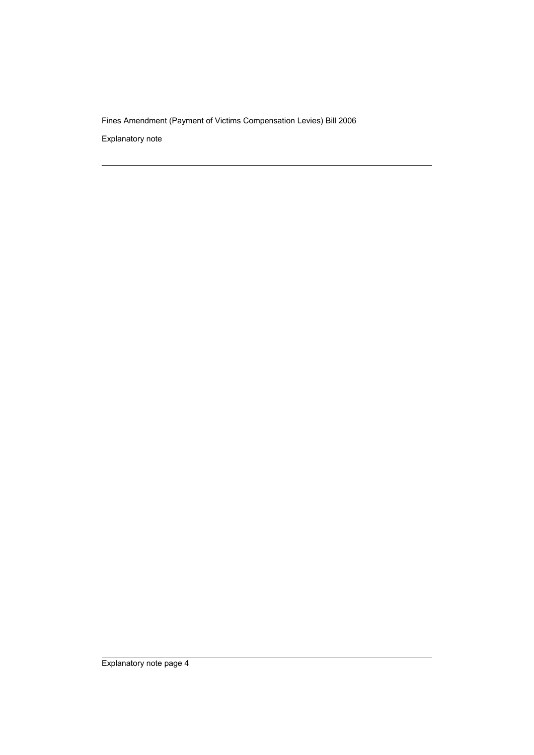Explanatory note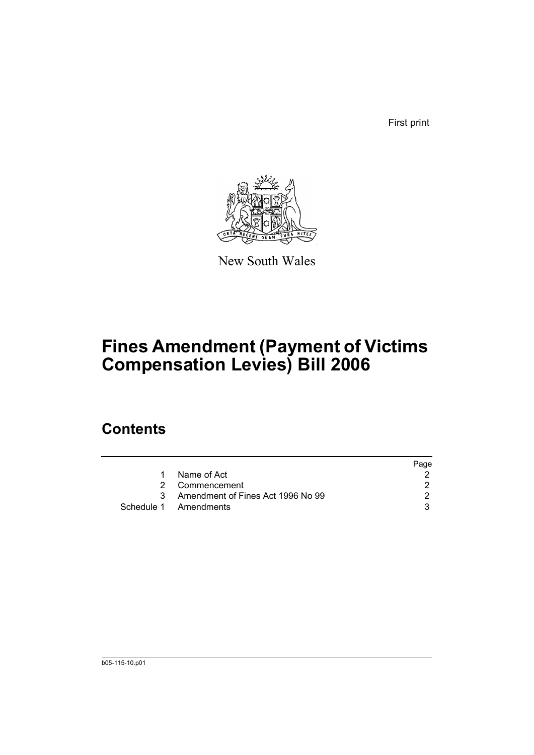First print



New South Wales

## **Fines Amendment (Payment of Victims Compensation Levies) Bill 2006**

### **Contents**

|                                     | Page |
|-------------------------------------|------|
| Name of Act                         |      |
| 2 Commencement                      |      |
| 3 Amendment of Fines Act 1996 No 99 |      |
| Schedule 1 Amendments               |      |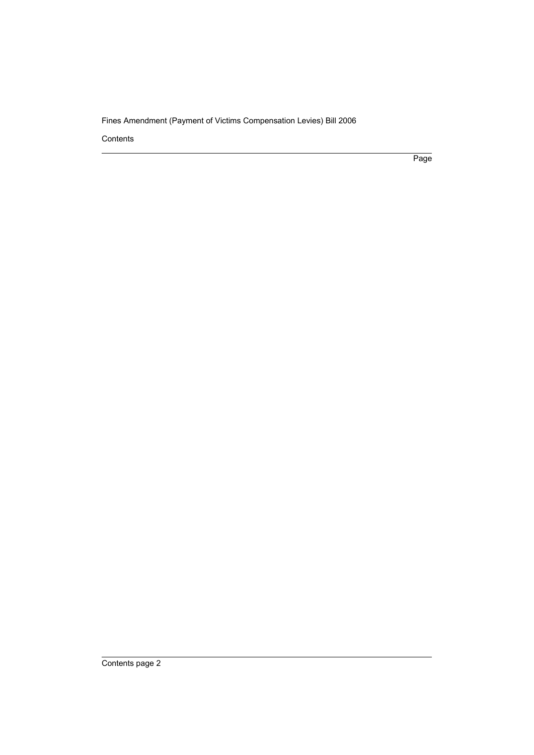Contents

Page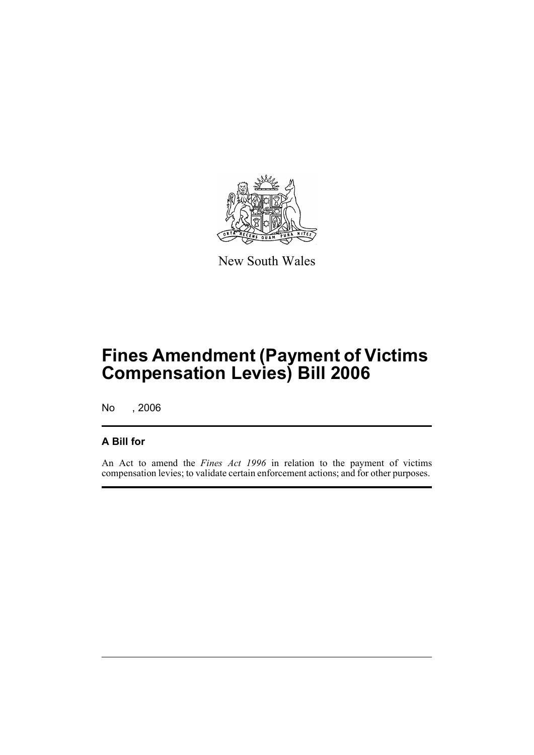

New South Wales

## **Fines Amendment (Payment of Victims Compensation Levies) Bill 2006**

No , 2006

#### **A Bill for**

An Act to amend the *Fines Act 1996* in relation to the payment of victims compensation levies; to validate certain enforcement actions; and for other purposes.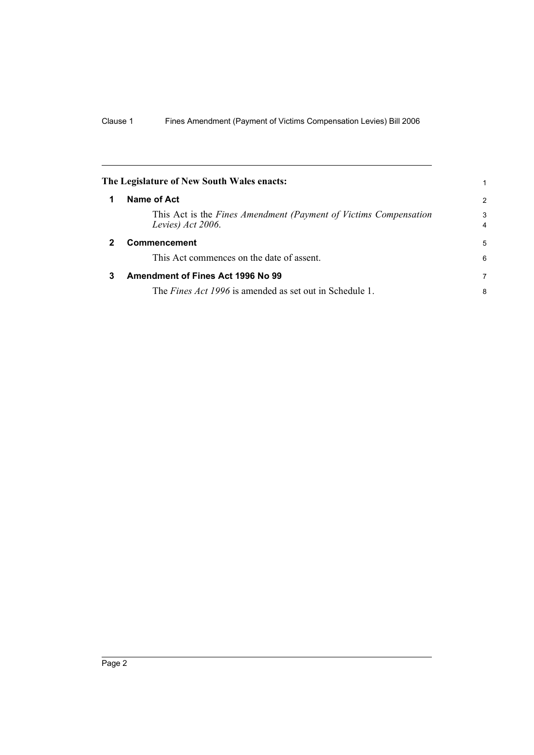<span id="page-7-2"></span><span id="page-7-1"></span><span id="page-7-0"></span>

|   | The Legislature of New South Wales enacts:                                            | 1      |
|---|---------------------------------------------------------------------------------------|--------|
|   | Name of Act                                                                           | 2      |
|   | This Act is the Fines Amendment (Payment of Victims Compensation<br>Levies) Act 2006. | 3<br>4 |
|   | Commencement                                                                          | 5      |
|   | This Act commences on the date of assent.                                             | 6      |
| 3 | Amendment of Fines Act 1996 No 99                                                     | 7      |
|   | The <i>Fines Act 1996</i> is amended as set out in Schedule 1.                        | 8      |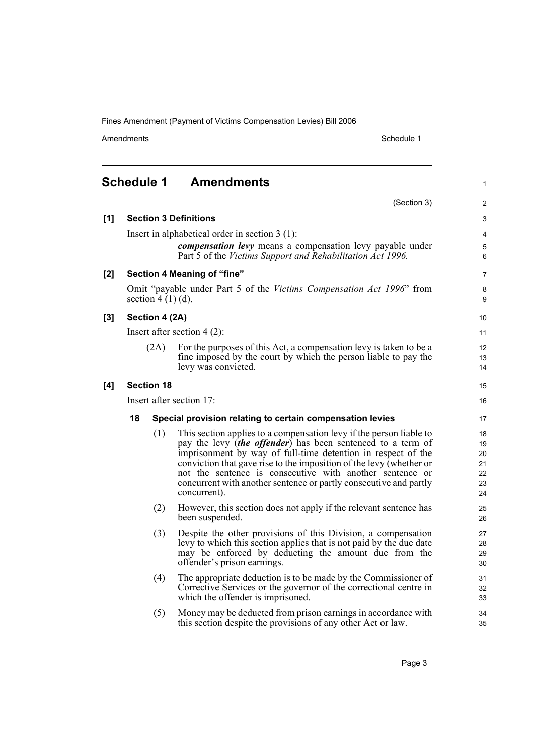Amendments Schedule 1

<span id="page-8-0"></span>

|       | <b>Schedule 1</b>             |                     | <b>Amendments</b>                                                                                                                                                                                                                                                                                                                                                                                                                 | 1                                      |
|-------|-------------------------------|---------------------|-----------------------------------------------------------------------------------------------------------------------------------------------------------------------------------------------------------------------------------------------------------------------------------------------------------------------------------------------------------------------------------------------------------------------------------|----------------------------------------|
|       |                               |                     | (Section 3)                                                                                                                                                                                                                                                                                                                                                                                                                       | $\overline{c}$                         |
| [1]   |                               |                     | <b>Section 3 Definitions</b>                                                                                                                                                                                                                                                                                                                                                                                                      | 3                                      |
|       |                               |                     | Insert in alphabetical order in section $3(1)$ :                                                                                                                                                                                                                                                                                                                                                                                  | 4                                      |
|       |                               |                     | compensation levy means a compensation levy payable under<br>Part 5 of the Victims Support and Rehabilitation Act 1996.                                                                                                                                                                                                                                                                                                           | 5<br>6                                 |
| $[2]$ |                               |                     | <b>Section 4 Meaning of "fine"</b>                                                                                                                                                                                                                                                                                                                                                                                                | 7                                      |
|       |                               | section $4(1)(d)$ . | Omit "payable under Part 5 of the Victims Compensation Act 1996" from                                                                                                                                                                                                                                                                                                                                                             | 8<br>9                                 |
| $[3]$ | Section 4 (2A)                |                     | 10                                                                                                                                                                                                                                                                                                                                                                                                                                |                                        |
|       | Insert after section $4(2)$ : |                     |                                                                                                                                                                                                                                                                                                                                                                                                                                   | 11                                     |
|       |                               | (2A)                | For the purposes of this Act, a compensation levy is taken to be a<br>fine imposed by the court by which the person liable to pay the<br>levy was convicted.                                                                                                                                                                                                                                                                      | 12<br>13<br>14                         |
| [4]   |                               | <b>Section 18</b>   |                                                                                                                                                                                                                                                                                                                                                                                                                                   | 15                                     |
|       | Insert after section 17:      |                     |                                                                                                                                                                                                                                                                                                                                                                                                                                   | 16                                     |
|       | 18                            |                     | Special provision relating to certain compensation levies                                                                                                                                                                                                                                                                                                                                                                         | 17                                     |
|       |                               | (1)                 | This section applies to a compensation levy if the person liable to<br>pay the levy <i>(the offender)</i> has been sentenced to a term of<br>imprisonment by way of full-time detention in respect of the<br>conviction that gave rise to the imposition of the levy (whether or<br>not the sentence is consecutive with another sentence or<br>concurrent with another sentence or partly consecutive and partly<br>concurrent). | 18<br>19<br>20<br>21<br>22<br>23<br>24 |
|       |                               | (2)                 | However, this section does not apply if the relevant sentence has<br>been suspended.                                                                                                                                                                                                                                                                                                                                              | 25<br>26                               |
|       |                               | (3)                 | Despite the other provisions of this Division, a compensation<br>levy to which this section applies that is not paid by the due date<br>may be enforced by deducting the amount due from the<br>offender's prison earnings.                                                                                                                                                                                                       | 27<br>28<br>29<br>30                   |
|       |                               | (4)                 | The appropriate deduction is to be made by the Commissioner of<br>Corrective Services or the governor of the correctional centre in<br>which the offender is imprisoned.                                                                                                                                                                                                                                                          | 31<br>32<br>33                         |
|       |                               | (5)                 | Money may be deducted from prison earnings in accordance with<br>this section despite the provisions of any other Act or law.                                                                                                                                                                                                                                                                                                     | 34<br>35                               |